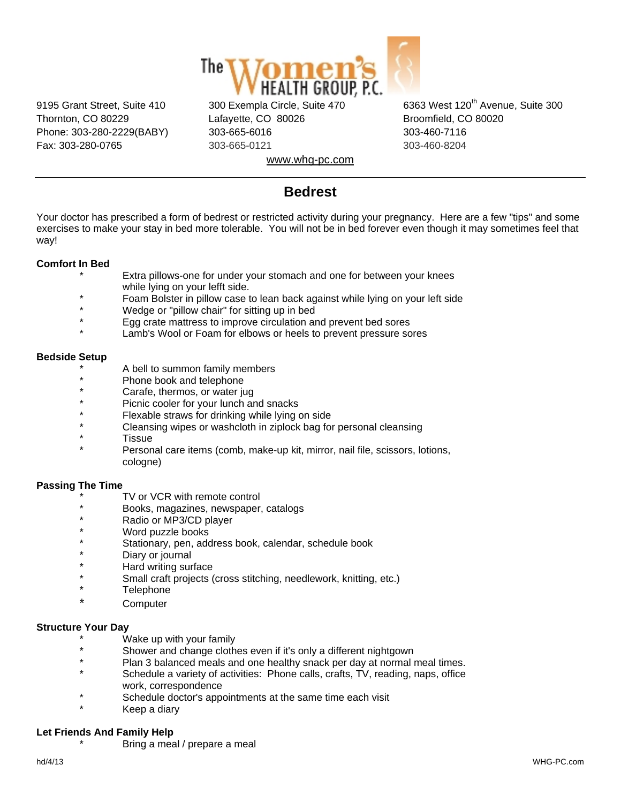

Thornton, CO 80229 Lafayette, CO 80026 Broomfield, CO 80020 Phone: 303-280-2229(BABY) 303-665-6016 303-460-7116 Fax: 303-280-0765 303-665-0121 303-460-8204 www.whg-pc.com

9195 Grant Street, Suite 410 300 Exempla Circle, Suite 470 6363 West 120<sup>th</sup> Avenue, Suite 300

# **Bedrest**

Your doctor has prescribed a form of bedrest or restricted activity during your pregnancy. Here are a few "tips" and some exercises to make your stay in bed more tolerable. You will not be in bed forever even though it may sometimes feel that way!

## **Comfort In Bed**

- Extra pillows-one for under your stomach and one for between your knees while lying on your lefft side.
	- Foam Bolster in pillow case to lean back against while lying on your left side
- Wedge or "pillow chair" for sitting up in bed
- Egg crate mattress to improve circulation and prevent bed sores
- Lamb's Wool or Foam for elbows or heels to prevent pressure sores

### **Bedside Setup**

- A bell to summon family members
- \* Phone book and telephone
- Carafe, thermos, or water jug
- Picnic cooler for your lunch and snacks
- Flexable straws for drinking while lying on side
- Cleansing wipes or washcloth in ziplock bag for personal cleansing
- **Tissue**
- Personal care items (comb, make-up kit, mirror, nail file, scissors, lotions, cologne)

### **Passing The Time**

- TV or VCR with remote control
- Books, magazines, newspaper, catalogs
- Radio or MP3/CD player
- Word puzzle books
- Stationary, pen, address book, calendar, schedule book
- Diary or journal
- Hard writing surface
- Small craft projects (cross stitching, needlework, knitting, etc.)
- **Telephone** 
	- **Computer**

# **Structure Your Day**

- Wake up with your family
- \* Shower and change clothes even if it's only a different nightgown
- \* Plan 3 balanced meals and one healthy snack per day at normal meal times.
- Schedule a variety of activities: Phone calls, crafts, TV, reading, naps, office work, correspondence
- Schedule doctor's appointments at the same time each visit
- Keep a diary

### **Let Friends And Family Help**

Bring a meal / prepare a meal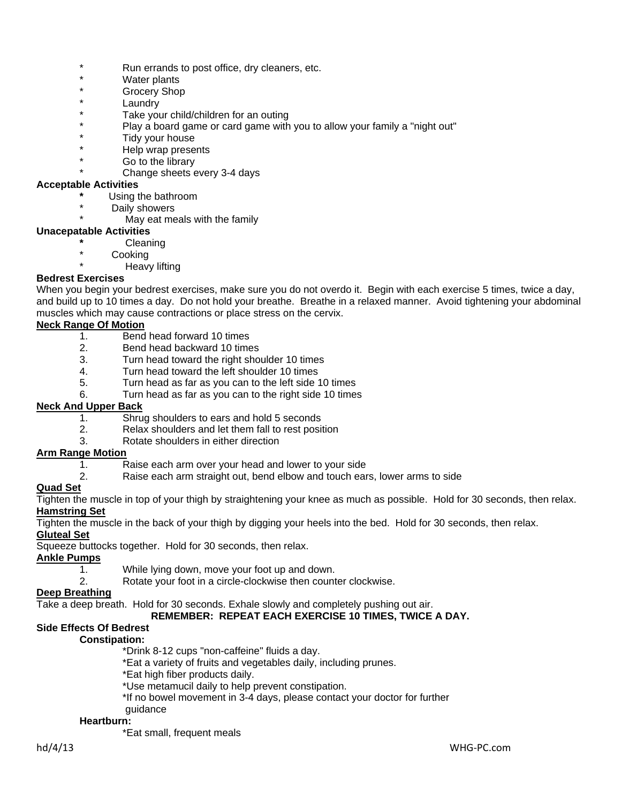- \* Run errands to post office, dry cleaners, etc.
- Water plants
- Grocery Shop
- Laundry
- Take your child/children for an outing
- Play a board game or card game with you to allow your family a "night out"
- Tidy your house
- Help wrap presents
- Go to the library
- Change sheets every 3-4 days

## **Acceptable Activities**

- **\*** Using the bathroom
- Daily showers
	- May eat meals with the family

# **Unacepatable Activities**

- **\*** Cleaning
- **Cooking** 
	- **Heavy lifting**

## **Bedrest Exercises**

When you begin your bedrest exercises, make sure you do not overdo it. Begin with each exercise 5 times, twice a day, and build up to 10 times a day. Do not hold your breathe. Breathe in a relaxed manner. Avoid tightening your abdominal muscles which may cause contractions or place stress on the cervix.

# **Neck Range Of Motion**

- 1. Bend head forward 10 times
- 2. Bend head backward 10 times
- 3. Turn head toward the right shoulder 10 times
- 4. Turn head toward the left shoulder 10 times
- 5. Turn head as far as you can to the left side 10 times
- 6. Turn head as far as you can to the right side 10 times

# **Neck And Upper Back**

- 1. Shrug shoulders to ears and hold 5 seconds
- 2. Relax shoulders and let them fall to rest position
- 3. Rotate shoulders in either direction

### **Arm Range Motion**

- 1. Raise each arm over your head and lower to your side
- 2. Raise each arm straight out, bend elbow and touch ears, lower arms to side

# **Quad Set**

Tighten the muscle in top of your thigh by straightening your knee as much as possible. Hold for 30 seconds, then relax. **Hamstring Set**

### Tighten the muscle in the back of your thigh by digging your heels into the bed. Hold for 30 seconds, then relax.

### **Gluteal Set**

Squeeze buttocks together. Hold for 30 seconds, then relax.

### **Ankle Pumps**

- 1. While lying down, move your foot up and down.
- 2. Rotate your foot in a circle-clockwise then counter clockwise.

## **Deep Breathing**

Take a deep breath. Hold for 30 seconds. Exhale slowly and completely pushing out air.

# **REMEMBER: REPEAT EACH EXERCISE 10 TIMES, TWICE A DAY.**

# **Side Effects Of Bedrest**

### **Constipation:**

\*Drink 8-12 cups "non-caffeine" fluids a day.

- \*Eat a variety of fruits and vegetables daily, including prunes.
- \*Eat high fiber products daily.
- \*Use metamucil daily to help prevent constipation.
- \*If no bowel movement in 3-4 days, please contact your doctor for further

# guidance

### **Heartburn:**

\*Eat small, frequent meals